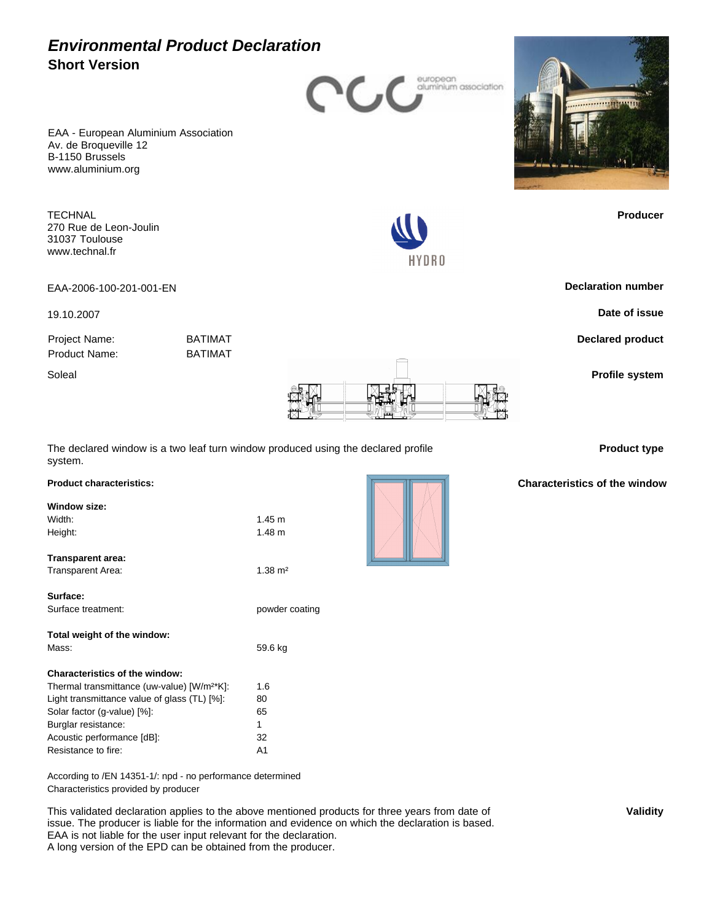

HYDRO

EAA - European Aluminium Association Av. de Broqueville 12 B-1150 Brussels www.aluminium.org

**TECHNAL** 270 Rue de Leon-Joulin 31037 Toulouse www.technal.fr

EAA-2006-100-201-001-EN **Declaration number**

19.10.2007 **Date of issue**

Project Name: BATIMAT Product Name: BATIMAT



The declared window is a two leaf turn window produced using the declared profile system.

## **Product characteristics: Window size:** Width:  $1.45 \text{ m}$ Height: 1.48 m **Transparent area:** Transparent Area: 1.38 m<sup>2</sup> **Surface:**

| Total weight of the window:                             |         |
|---------------------------------------------------------|---------|
| Mass:                                                   | 59.6 kg |
|                                                         |         |
| Characteristics of the window:                          |         |
| Thermal transmittance (uw-value) [W/m <sup>2*</sup> K]: | 1.6     |
| Light transmittance value of glass (TL) [%]:            | 80      |
| Solar factor (g-value) [%]:                             | 65      |
| Burglar resistance:                                     | 1       |
| Acoustic performance [dB]:                              | 32      |
| Resistance to fire:                                     | A1      |

Surface treatment: powder coating

According to /EN 14351-1/: npd - no performance determined Characteristics provided by producer

This validated declaration applies to the above mentioned products for three years from date of issue. The producer is liable for the information and evidence on which the declaration is based. EAA is not liable for the user input relevant for the declaration. A long version of the EPD can be obtained from the producer.



**Producer**

**Declared product**

**Product type**

### **Characteristics of the window**

**Validity**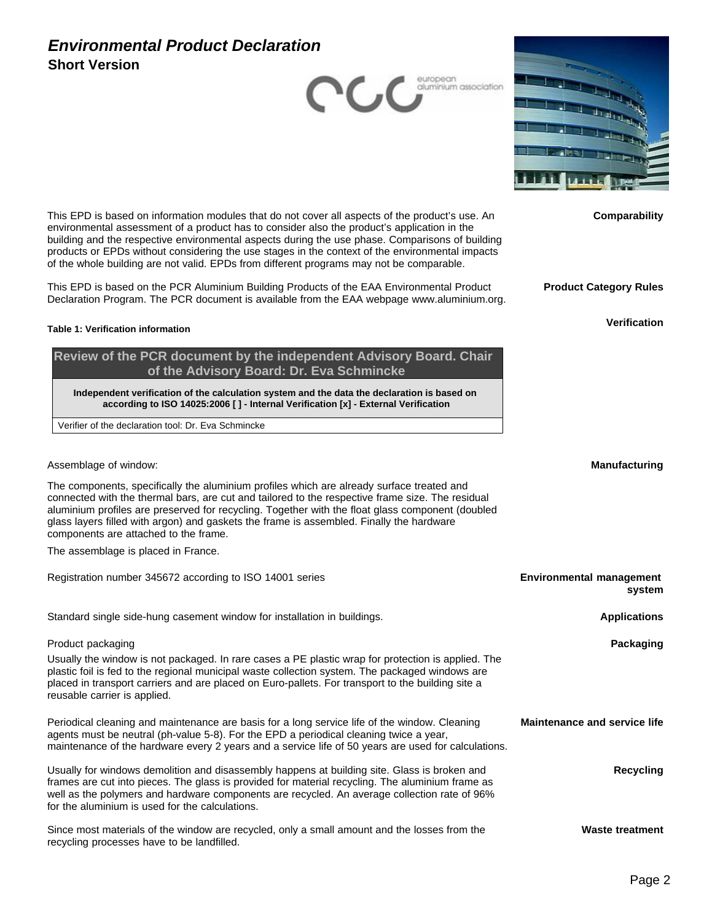



**Comparability**

This EPD is based on information modules that do not cover all aspects of the product's use. An environmental assessment of a product has to consider also the product's application in the building and the respective environmental aspects during the use phase. Comparisons of building products or EPDs without considering the use stages in the context of the environmental impacts of the whole building are not valid. EPDs from different programs may not be comparable.

This EPD is based on the PCR Aluminium Building Products of the EAA Environmental Product Declaration Program. The PCR document is available from the EAA webpage www.aluminium.org.

#### **Table 1: Verification information**

**Review of the PCR document by the independent Advisory Board. Chair of the Advisory Board: Dr. Eva Schmincke**

**Independent verification of the calculation system and the data the declaration is based on according to ISO 14025:2006 [ ] - Internal Verification [x] - External Verification**

Verifier of the declaration tool: Dr. Eva Schmincke

Assemblage of window: **Manufacturing**

The components, specifically the aluminium profiles which are already surface treated and connected with the thermal bars, are cut and tailored to the respective frame size. The residual aluminium profiles are preserved for recycling. Together with the float glass component (doubled glass layers filled with argon) and gaskets the frame is assembled. Finally the hardware components are attached to the frame.

The assemblage is placed in France.

| Registration number 345672 according to ISO 14001 series                                                                                                                                                                                                                                                                                            | <b>Environmental management</b><br>system |
|-----------------------------------------------------------------------------------------------------------------------------------------------------------------------------------------------------------------------------------------------------------------------------------------------------------------------------------------------------|-------------------------------------------|
| Standard single side-hung casement window for installation in buildings.                                                                                                                                                                                                                                                                            | <b>Applications</b>                       |
| Product packaging                                                                                                                                                                                                                                                                                                                                   | Packaging                                 |
| Usually the window is not packaged. In rare cases a PE plastic wrap for protection is applied. The<br>plastic foil is fed to the regional municipal waste collection system. The packaged windows are<br>placed in transport carriers and are placed on Euro-pallets. For transport to the building site a<br>reusable carrier is applied.          |                                           |
| Periodical cleaning and maintenance are basis for a long service life of the window. Cleaning<br>agents must be neutral (ph-value 5-8). For the EPD a periodical cleaning twice a year,<br>maintenance of the hardware every 2 years and a service life of 50 years are used for calculations.                                                      | <b>Maintenance and service life</b>       |
| Usually for windows demolition and disassembly happens at building site. Glass is broken and<br>frames are cut into pieces. The glass is provided for material recycling. The aluminium frame as<br>well as the polymers and hardware components are recycled. An average collection rate of 96%<br>for the aluminium is used for the calculations. | Recycling                                 |
| Since most materials of the window are recycled, only a small amount and the losses from the<br>recycling processes have to be landfilled.                                                                                                                                                                                                          | <b>Waste treatment</b>                    |

**Product Category Rules**

**Verification**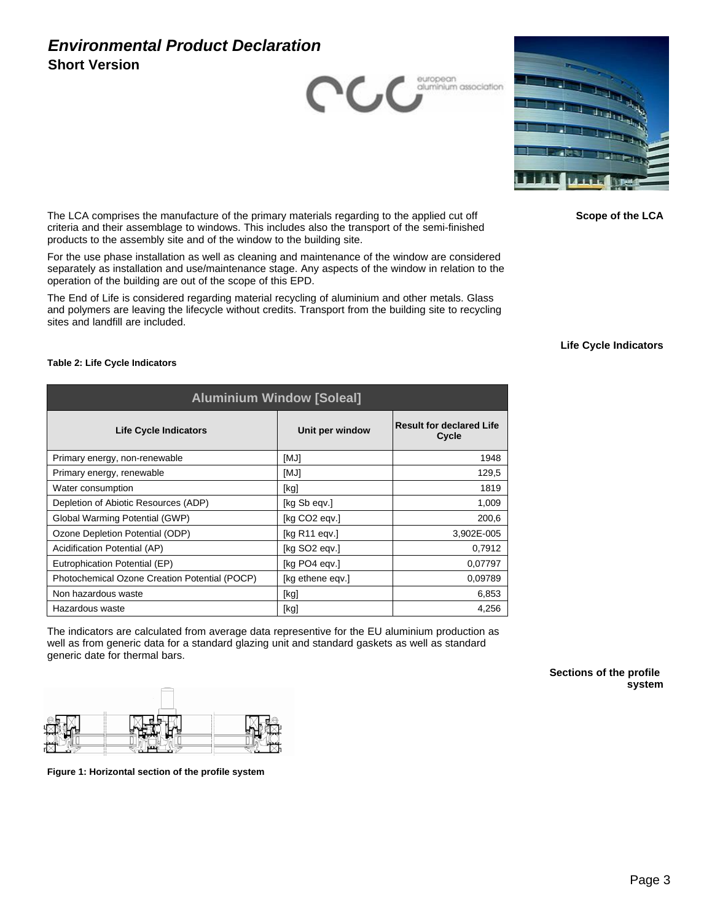



**Scope of the LCA**

The LCA comprises the manufacture of the primary materials regarding to the applied cut off criteria and their assemblage to windows. This includes also the transport of the semi-finished products to the assembly site and of the window to the building site.

For the use phase installation as well as cleaning and maintenance of the window are considered separately as installation and use/maintenance stage. Any aspects of the window in relation to the operation of the building are out of the scope of this EPD.

The End of Life is considered regarding material recycling of aluminium and other metals. Glass and polymers are leaving the lifecycle without credits. Transport from the building site to recycling sites and landfill are included.

#### **Life Cycle Indicators**

| <b>Aluminium Window [Soleal]</b>              |                              |                                          |  |
|-----------------------------------------------|------------------------------|------------------------------------------|--|
| Life Cycle Indicators                         | Unit per window              | <b>Result for declared Life</b><br>Cycle |  |
| Primary energy, non-renewable                 | [MJ]                         | 1948                                     |  |
| Primary energy, renewable                     | [MJ]                         | 129,5                                    |  |
| Water consumption                             | [kg]                         | 1819                                     |  |
| Depletion of Abiotic Resources (ADP)          | [kg Sb eqv.]                 | 1,009                                    |  |
| Global Warming Potential (GWP)                | [kg CO2 eqv.]                | 200,6                                    |  |
| Ozone Depletion Potential (ODP)               | [ $kg$ R <sub>11</sub> eqv.] | 3,902E-005                               |  |
| Acidification Potential (AP)                  | [kg SO <sub>2</sub> eqv.]    | 0,7912                                   |  |
| Eutrophication Potential (EP)                 | [kg PO4 egv.]                | 0,07797                                  |  |
| Photochemical Ozone Creation Potential (POCP) | [kg ethene egv.]             | 0,09789                                  |  |
| Non hazardous waste                           | [kg]                         | 6,853                                    |  |
| Hazardous waste                               | [kg]                         | 4,256                                    |  |

The indicators are calculated from average data representive for the EU aluminium production as well as from generic data for a standard glazing unit and standard gaskets as well as standard generic date for thermal bars.

> **Sections of the profile system**



**Figure 1: Horizontal section of the profile system**